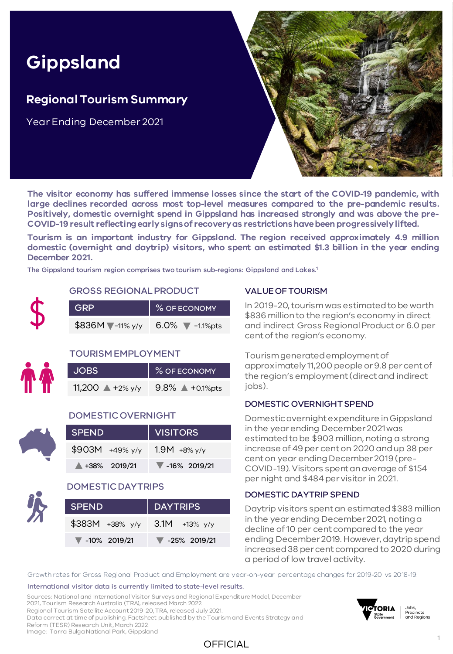# **Gippsland**

### **Regional Tourism Summary**

Year Ending December 2021



**The visitor economy has suffered immense losses since the start of the COVID-19 pandemic, with large declines recorded across most top-level measures compared to the pre-pandemic results. Positively, domestic overnight spend in Gippsland has increased strongly and was above the pre-COVID-19 result reflectingearlysignsof recoveryas restrictionshavebeenprogressivelylifted.**

**Tourism is an important industry for Gippsland. The region received approximately 4.9 million domestic (overnight and daytrip) visitors, who spent an estimated \$1.3 billion in the year ending December 2021.**

The Gippsland tourism region comprises two tourism sub-regions: Gippsland and Lakes. 1

#### GROSS REGIONAL PRODUCT

| <b>GRP</b>       | % OF ECONOMY                        |
|------------------|-------------------------------------|
| $$836M$ -11% y/y | 6.0% $\blacktriangledown$ -1.1% pts |

#### TOURISM EMPLOYMENT

| <b>JOBS</b>                | % OF ECONOMY                 |  |  |  |  |
|----------------------------|------------------------------|--|--|--|--|
| 11,200 $\triangle$ +2% y/y | $9.8\%$ $\triangle$ +0.1%pts |  |  |  |  |

#### DOMESTIC OVERNIGHT

| <b>SPEND</b>      | VISITORS                          |  |  |  |
|-------------------|-----------------------------------|--|--|--|
| $$903M +49\%$ y/y | $1.9M + 8\%$ y/y                  |  |  |  |
| $+38\%$ 2019/21   | $\blacktriangledown$ -16% 2019/21 |  |  |  |

#### DOMESTIC DAYTRIPS

| <b>SPEND</b>                      | DAYTRIPS                          |  |  |  |
|-----------------------------------|-----------------------------------|--|--|--|
| \$383M +38% y/y 3.1M +13% y/y     |                                   |  |  |  |
| $\blacktriangledown$ -10% 2019/21 | $\blacktriangledown$ -25% 2019/21 |  |  |  |

#### VALUE OF TOURISM

In 2019-20, tourism was estimated to be worth \$836 million to the region's economy in direct and indirect Gross Regional Product or 6.0 per cent of the region's economy.

Tourism generated employment of approximately 11,200 people or 9.8 per cent of the region's employment (direct and indirect jobs).

#### DOMESTIC OVERNIGHT SPEND

Domestic overnight expenditure in Gippsland in the year ending December 2021 was estimated to be \$903 million, noting a strong increase of 49 per cent on 2020 and up 38 per cent on year ending December 2019 (pre-COVID-19). Visitors spent an average of \$154 per night and \$484 per visitor in 2021.

#### DOMESTIC DAYTRIP SPEND

Daytrip visitors spent an estimated \$383 million in the year ending December 2021, noting a decline of 10 per cent compared to the year ending December 2019. However, daytrip spend increased 38 per cent compared to 2020 during a period of low travel activity.

Growth rates for Gross Regional Product and Employment are year-on-year percentage changes for 2019-20 vs 2018-19.

#### International visitor data is currently limited to state-level results.

Sources: National and International Visitor Surveys and Regional Expenditure Model, December 2021, Tourism Research Australia (TRA), released March 2022. Regional Tourism Satellite Account 2019-20, TRA, released July 2021. Data correct at time of publishing. Factsheet published by the Tourism and Events Strategy and Reform (TESR) Research Unit, March 2022.



Jobs,<br>Precincts<br>and Regions

Image: Tarra Bulga National Park, Gippsland

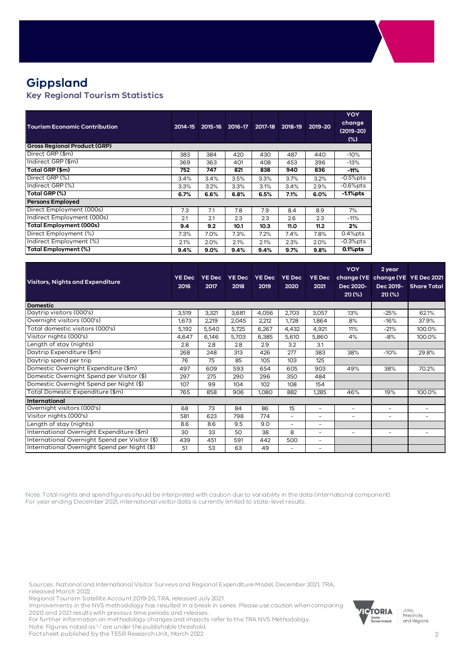## **Gippsland**

**Key Regional Tourism Statistics**

| <b>Tourism Economic Contribution</b> | 2014-15 | 2015-16 | 2016-17 | 2017-18 | 2018-19 | 2019-20 | YOY<br>change<br>$(2019 - 20)$<br>$(\%)$ |
|--------------------------------------|---------|---------|---------|---------|---------|---------|------------------------------------------|
| <b>Gross Regional Product (GRP)</b>  |         |         |         |         |         |         |                                          |
| Direct GRP (\$m)                     | 383     | 384     | 420     | 430     | 487     | 440     | $-10%$                                   |
| Indirect GRP (\$m)                   | 369     | 363     | 401     | 408     | 453     | 396     | $-13%$                                   |
| Total GRP (\$m)                      | 752     | 747     | 821     | 838     | 940     | 836     | -11%                                     |
| Direct GRP (%)                       | 3.4%    | 3.4%    | 3.5%    | 3.3%    | 3.7%    | 3.2%    | $-0.5%$ pts                              |
| Indirect GRP (%)                     | 3.3%    | 3.2%    | 3.3%    | 3.1%    | 3.4%    | 2.9%    | $-0.6%$ pts                              |
| Total GRP (%)                        | 6.7%    | 6.6%    | 6.8%    | 6.5%    | 7.1%    | 6.0%    | -1.1%pts                                 |
| <b>Persons Employed</b>              |         |         |         |         |         |         |                                          |
| Direct Employment (000s)             | 7.3     | 7.1     | 7.8     | 7.9     | 8.4     | 8.9     | 7%                                       |
| Indirect Employment (000s)           | 2.1     | 2.1     | 2.3     | 2.3     | 2.6     | 2.3     | $-11%$                                   |
| <b>Total Employment (000s)</b>       | 9.4     | 9.2     | 10.1    | 10.3    | 11.0    | 11.2    | 2%                                       |
| Direct Employment (%)                | 7.3%    | 7.0%    | 7.3%    | 7.2%    | 7.4%    | 7.8%    | $0.4%$ pts                               |
| Indirect Employment (%)              | 2.1%    | 2.0%    | 2.1%    | 2.1%    | 2.3%    | 2.0%    | $-0.3%$ pts                              |
| Total Employment (%)                 | 9.4%    | 9.0%    | 9.4%    | 9.4%    | 9.7%    | 9.8%    | $0.1%$ pts                               |

| <b>Visitors, Nights and Expenditure</b>        | <b>YE Dec</b><br>2016 | <b>YE Dec</b><br>2017 | <b>YE Dec</b><br>2018 | <b>YE Dec</b><br>2019 | <b>YE Dec</b><br>2020    | <b>YE Dec</b><br>2021    | <b>YOY</b><br>Dec 2020-<br>21)(% | 2 year<br>change (YE change (YE YE Dec 2021<br>Dec 2019-<br>$21)$ (%) | <b>Share Total</b>       |
|------------------------------------------------|-----------------------|-----------------------|-----------------------|-----------------------|--------------------------|--------------------------|----------------------------------|-----------------------------------------------------------------------|--------------------------|
| <b>Domestic</b>                                |                       |                       |                       |                       |                          |                          |                                  |                                                                       |                          |
| Daytrip visitors (000's)                       | 3,519                 | 3,321                 | 3,681                 | 4,056                 | 2,703                    | 3,057                    | 13%                              | $-25%$                                                                | 62.1%                    |
| Overnight visitors (000's)                     | 1,673                 | 2,219                 | 2,045                 | 2,212                 | 1,728                    | 1,864                    | 8%                               | $-16%$                                                                | 37.9%                    |
| Total domestic visitors (000's)                | 5.192                 | 5,540                 | 5,725                 | 6,267                 | 4,432                    | 4,921                    | 11%                              | $-21%$                                                                | 100.0%                   |
| Visitor nights (000's)                         | 4,647                 | 6,146                 | 5,703                 | 6,385                 | 5,610                    | 5,860                    | 4%                               | $-8%$                                                                 | 100.0%                   |
| Length of stay (nights)                        | 2.8                   | 2.8                   | 2.8                   | 2.9                   | 3.2                      | 3.1                      |                                  |                                                                       |                          |
| Daytrip Expenditure (\$m)                      | 268                   | 248                   | 313                   | 426                   | 277                      | 383                      | 38%                              | $-10%$                                                                | 29.8%                    |
| Daytrip spend per trip                         | 76                    | 75                    | 85                    | 105                   | 103                      | 125                      |                                  |                                                                       |                          |
| Domestic Overnight Expenditure (\$m)           | 497                   | 609                   | 593                   | 654                   | 605                      | 903                      | 49%                              | 38%                                                                   | 70.2%                    |
| Domestic Overnight Spend per Visitor (\$)      | 297                   | 275                   | 290                   | 296                   | 350                      | 484                      |                                  |                                                                       |                          |
| Domestic Overnight Spend per Night (\$)        | 107                   | 99                    | 104                   | 102                   | 108                      | 154                      |                                  |                                                                       |                          |
| Total Domestic Expenditure (\$m)               | 765                   | 858                   | 906                   | 1,080                 | 882                      | 1,285                    | 46%                              | 19%                                                                   | 100.0%                   |
| International                                  |                       |                       |                       |                       |                          |                          |                                  |                                                                       |                          |
| Overnight visitors (000's)                     | 68                    | 73                    | 84                    | 86                    | 15                       | $\overline{\phantom{a}}$ | $\overline{\phantom{a}}$         | $\sim$                                                                | -                        |
| Visitor nights (000's)                         | 581                   | 623                   | 798                   | 774                   | $\overline{\phantom{a}}$ | $\overline{\phantom{a}}$ | $\overline{\phantom{a}}$         | $\sim$                                                                | $\overline{\phantom{a}}$ |
| Length of stay (nights)                        | 8.6                   | 8.6                   | 9.5                   | 9.0                   | $\overline{\phantom{a}}$ | $\overline{\phantom{0}}$ |                                  |                                                                       |                          |
| International Overnight Expenditure (\$m)      | 30                    | 33                    | 50                    | 38                    | 8                        | -                        | $\overline{\phantom{a}}$         | $\overline{\phantom{a}}$                                              | -                        |
| International Overnight Spend per Visitor (\$) | 439                   | 451                   | 591                   | 442                   | 500                      | $\overline{\phantom{0}}$ |                                  |                                                                       |                          |
| International Overnight Spend per Night (\$)   | 51                    | 53                    | 63                    | 49                    | $\overline{\phantom{a}}$ | $\overline{\phantom{a}}$ |                                  |                                                                       |                          |
|                                                |                       |                       |                       |                       |                          |                          |                                  |                                                                       |                          |

Note: Total nights and spend figures should be interpreted with caution due to variability in the data (international component). For year ending December 2021, international visitor data is currently limited to state-level results.

Sources: National and International Visitor Surveys and Regional Expenditure Model, December 2021, TRA, released March 2022.

Regional Tourism Satellite Account 2019-20, TRA, released July 2021.

Improvements in the NVS methodology has resulted in a break in series. Please use caution when comparing 2020 and 2021 results with previous time periods and releases.

For further information on methodology changes and impacts refer to the TRA NVS Methodology.

Note: Figures noted as '-' are under the publishable threshold.

Factsheet published by the TESR Research Unit, March 2022



Jobs,<br>Precincts and Regions